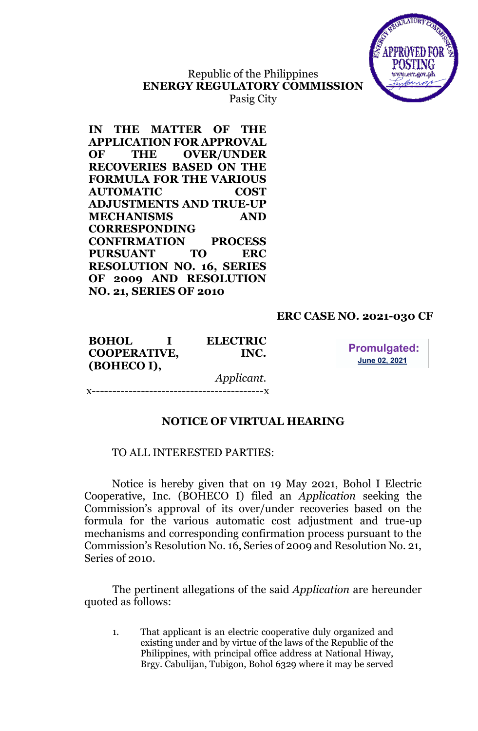

# Republic of the Philippines **ENERGY REGULATORY COMMISSION**

Pasig City

**IN THE MATTER OF THE APPLICATION FOR APPROVAL OF THE OVER/UNDER RECOVERIES BASED ON THE FORMULA FOR THE VARIOUS AUTOMATIC COST ADJUSTMENTS AND TRUE-UP MECHANISMS AND CORRESPONDING CONFIRMATION PROCESS PURSUANT TO ERC RESOLUTION NO. 16, SERIES OF 2009 AND RESOLUTION NO. 21, SERIES OF 2010**

## **ERC CASE NO. 2021-030 CF**

**BOHOL I ELECTRIC COOPERATIVE, INC. (BOHECO I),**

**Promulgated: June 02, 2021** 

*Applicant.* -------------<br>V

## **NOTICE OF VIRTUAL HEARING**

#### TO ALL INTERESTED PARTIES:

Notice is hereby given that on 19 May 2021, Bohol I Electric Cooperative, Inc. (BOHECO I) filed an *Application* seeking the Commission's approval of its over/under recoveries based on the formula for the various automatic cost adjustment and true-up mechanisms and corresponding confirmation process pursuant to the Commission's Resolution No. 16, Series of 2009 and Resolution No. 21, Series of 2010.

The pertinent allegations of the said *Application* are hereunder quoted as follows:

1. That applicant is an electric cooperative duly organized and existing under and by virtue of the laws of the Republic of the Philippines, with principal office address at National Hiway, Brgy. Cabulijan, Tubigon, Bohol 6329 where it may be served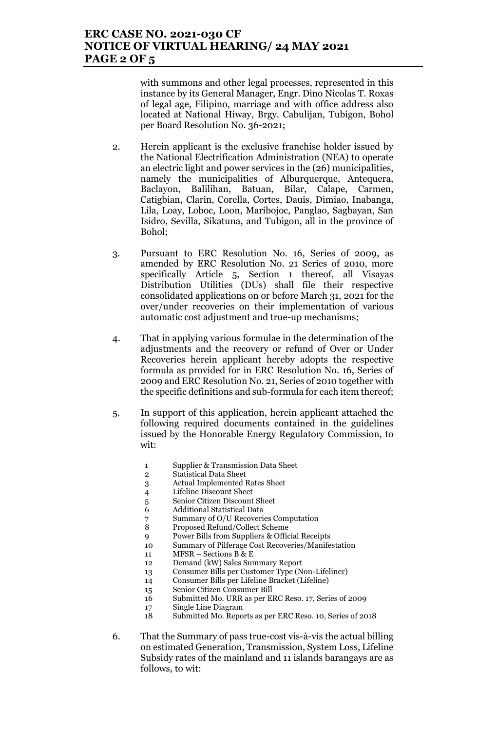## **ERC CASE NO. 2021-030 CF NOTICE OF VIRTUAL HEARING/ 24 MAY 2021 PAGE 2 OF 5**

with summons and other legal processes, represented in this instance by its General Manager, Engr. Dino Nicolas T. Roxas of legal age, Filipino, marriage and with office address also located at National Hiway, Brgy. Cabulijan, Tubigon, Bohol per Board Resolution No. 36-2021;

- 2. Herein applicant is the exclusive franchise holder issued by the National Electrification Administration (NEA) to operate an electric light and power services in the (26) municipalities, namely the municipalities of Alburquerque, Antequera, Baclayon, Balilihan, Batuan, Bilar, Calape, Carmen, Catigbian, Clarin, Corella, Cortes, Dauis, Dimiao, Inabanga, Lila, Loay, Loboc, Loon, Maribojoc, Panglao, Sagbayan, San Isidro, Sevilla, Sikatuna, and Tubigon, all in the province of Bohol;
- 3. Pursuant to ERC Resolution No. 16, Series of 2009, as amended by ERC Resolution No. 21 Series of 2010, more specifically Article 5, Section 1 thereof, all Visayas Distribution Utilities (DUs) shall file their respective consolidated applications on or before March 31, 2021 for the over/under recoveries on their implementation of various automatic cost adjustment and true-up mechanisms;
- 4. That in applying various formulae in the determination of the adjustments and the recovery or refund of Over or Under Recoveries herein applicant hereby adopts the respective formula as provided for in ERC Resolution No. 16, Series of 2009 and ERC Resolution No. 21, Series of 2010 together with the specific definitions and sub-formula for each item thereof;
- 5. In support of this application, herein applicant attached the following required documents contained in the guidelines issued by the Honorable Energy Regulatory Commission, to wit:
	- 1 Supplier & Transmission Data Sheet
	- 2 Statistical Data Sheet
	- 3 Actual Implemented Rates Sheet
	- 4 Lifeline Discount Sheet
	- 5 Senior Citizen Discount Sheet
	- 6 Additional Statistical Data
	- 7 Summary of O/U Recoveries Computation<br>8 Proposed Refund/Collect Scheme
	- 8 Proposed Refund/Collect Scheme
	- 9 Power Bills from Suppliers & Official Receipts
	- 10 Summary of Pilferage Cost Recoveries/Manifestation
	- 11 MFSR Sections B & E
	- 12 Demand (kW) Sales Summary Report
	- 13 Consumer Bills per Customer Type (Non-Lifeliner)
	- 14 Consumer Bills per Lifeline Bracket (Lifeline)
	- 15 Senior Citizen Consumer Bill
	- 16 Submitted Mo. URR as per ERC Reso. 17, Series of 2009
	- 17 Single Line Diagram
	- 18 Submitted Mo. Reports as per ERC Reso. 10, Series of 2018
- 6. That the Summary of pass true-cost vis-à-vis the actual billing on estimated Generation, Transmission, System Loss, Lifeline Subsidy rates of the mainland and 11 islands barangays are as follows, to wit: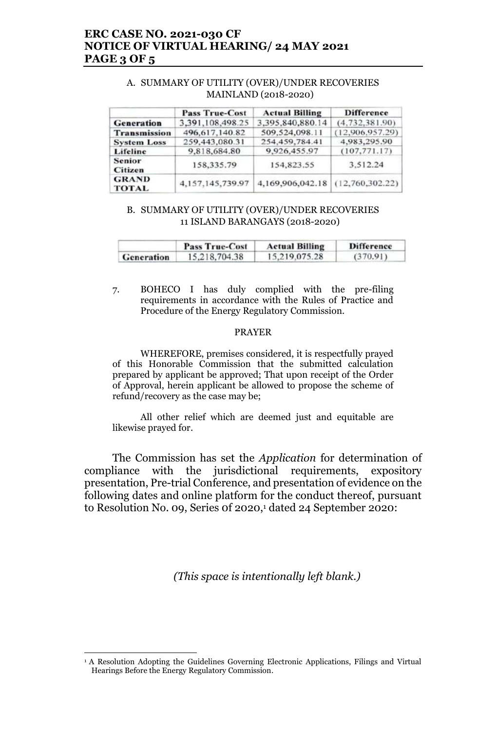## **ERC CASE NO. 2021-030 CF NOTICE OF VIRTUAL HEARING/ 24 MAY 2021 PAGE 3 OF 5**

## A. SUMMARY OF UTILITY (OVER)/UNDER RECOVERIES MAINLAND (2018-2020)

|                                 | <b>Pass True-Cost</b> | <b>Actual Billing</b>            | <b>Difference</b> |
|---------------------------------|-----------------------|----------------------------------|-------------------|
| <b>Generation</b>               | 3,391,108,498.25      | 3,395,840,880.14                 | (4,732,381.90)    |
| <b>Transmission</b>             | 496, 617, 140.82      | 509,524,098.11                   | (12,906,957,29)   |
| <b>System Loss</b>              | 259,443,080.31        | 254,459,784.41                   | 4,983,295.90      |
| Lifeline                        | 9,818,684.80          | 9,926,455.97                     | (107, 771, 17)    |
| <b>Senior</b><br><b>Citizen</b> | 158,335.79            | 154,823.55                       | 3.512.24          |
| <b>GRAND</b><br><b>TOTAL</b>    | 4,157,145,739.97      | 4,169,906,042.18 (12,760,302.22) |                   |

## B. SUMMARY OF UTILITY (OVER)/UNDER RECOVERIES 11 ISLAND BARANGAYS (2018-2020)

|            | <b>Pass True-Cost</b> | <b>Actual Billing</b> | <b>Difference</b> |
|------------|-----------------------|-----------------------|-------------------|
| Generation | 15,218,704.38         | 15.219.075.28         | (370.91)          |

7. BOHECO I has duly complied with the pre-filing requirements in accordance with the Rules of Practice and Procedure of the Energy Regulatory Commission.

#### PRAYER

WHEREFORE, premises considered, it is respectfully prayed of this Honorable Commission that the submitted calculation prepared by applicant be approved; That upon receipt of the Order of Approval, herein applicant be allowed to propose the scheme of refund/recovery as the case may be;

All other relief which are deemed just and equitable are likewise prayed for.

The Commission has set the *Application* for determination of compliance with the jurisdictional requirements, expository presentation, Pre-trial Conference, and presentation of evidence on the following dates and online platform for the conduct thereof, pursuant to Resolution No. 09, Series 0f 2020, <sup>1</sup> dated 24 September 2020:

*(This space is intentionally left blank.)*

<sup>&</sup>lt;sup>1</sup> A Resolution Adopting the Guidelines Governing Electronic Applications, Filings and Virtual Hearings Before the Energy Regulatory Commission.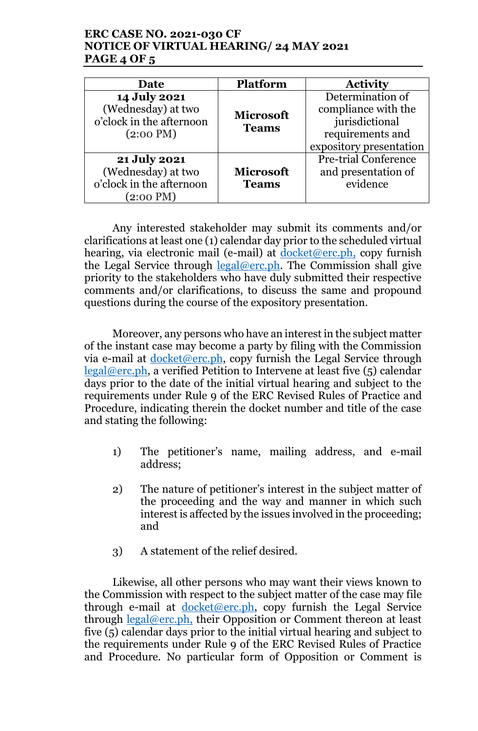# **ERC CASE NO. 2021-030 CF NOTICE OF VIRTUAL HEARING/ 24 MAY 2021 PAGE 4 OF 5**

| Date                                                                                  | <b>Platform</b>                  | <b>Activity</b>                                                                                          |
|---------------------------------------------------------------------------------------|----------------------------------|----------------------------------------------------------------------------------------------------------|
| 14 July 2021<br>(Wednesday) at two<br>o'clock in the afternoon<br>$(2:00 \text{ PM})$ | <b>Microsoft</b><br><b>Teams</b> | Determination of<br>compliance with the<br>jurisdictional<br>requirements and<br>expository presentation |
| <b>21 July 2021</b><br>(Wednesday) at two<br>o'clock in the afternoon<br>(2:00 PM)    | <b>Microsoft</b><br><b>Teams</b> | <b>Pre-trial Conference</b><br>and presentation of<br>evidence                                           |

Any interested stakeholder may submit its comments and/or clarifications at least one (1) calendar day prior to the scheduled virtual hearing, via electronic mail (e-mail) at  $d$ <sub>0</sub> $\frac{d}{d}$ <sub>0</sub> $\frac{d}{d}$ <sub>2</sub> $\frac{d}{d}$ <sub>2</sub>, copy furnish the Legal Service through  $\text{legal@erc.ph.}$  The Commission shall give priority to the stakeholders who have duly submitted their respective comments and/or clarifications, to discuss the same and propound questions during the course of the expository presentation.

Moreover, any persons who have an interest in the subject matter of the instant case may become a party by filing with the Commission via e-mail at docket@erc.ph, copy furnish the Legal Service through  $\text{legal@erc.ph},$  a verified Petition to Intervene at least five (5) calendar days prior to the date of the initial virtual hearing and subject to the requirements under Rule 9 of the ERC Revised Rules of Practice and Procedure, indicating therein the docket number and title of the case and stating the following:

- 1) The petitioner's name, mailing address, and e-mail address;
- 2) The nature of petitioner's interest in the subject matter of the proceeding and the way and manner in which such interest is affected by the issues involved in the proceeding; and
- 3) A statement of the relief desired.

Likewise, all other persons who may want their views known to the Commission with respect to the subject matter of the case may file through e-mail at  $d$ ocket@erc.ph, copy furnish the Legal Service through  $\frac{\text{legal@erc.ph.}}{\text{their Opposition}}$  or Comment thereon at least five (5) calendar days prior to the initial virtual hearing and subject to the requirements under Rule 9 of the ERC Revised Rules of Practice and Procedure. No particular form of Opposition or Comment is